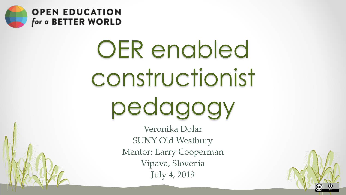

# OER enabled constructionist pedagogy

Veronika Dolar SUNY Old Westbury Mentor: Larry Cooperman Vipava, Slovenia July 4, 2019

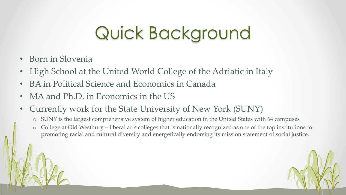# Quick Background

- Born in Slovenia
- High School at the United World College of the Adriatic in Italy
- BA in Political Science and Economics in Canada
- MA and Ph.D. in Economics in the US
- Currently work for the State University of New York (SUNY)
	- o SUNY is the largest comprehensive system of higher education in the United States with 64 campuses
	- o College at Old Westbury liberal arts colleges that is nationally recognized as one of the top institutions for promoting racial and cultural diversity and energetically endorsing its mission statement of social justice.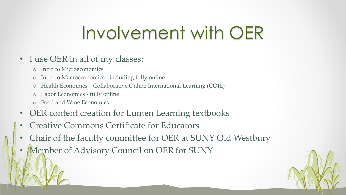# Involvement with OER

#### • I use OER in all of my classes:

- o Intro to Microeconomics
- o Intro to Macroeconomics including fully online
- o Health Economics Collaborative Online International Learning (COIL)
- o Labor Economics fully online
- o Food and Wine Economics
- OER content creation for Lumen Learning textbooks
- Creative Commons Certificate for Educators
- Chair of the faculty committee for OER at SUNY Old Westbury
- Member of Advisory Council on OER for SUNY

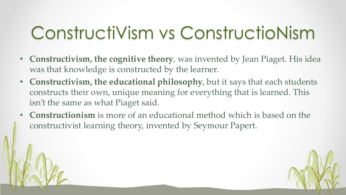# ConstructiVism vs ConstructioNism

- **Constructivism, the cognitive theory**, was invented by Jean Piaget. His idea was that knowledge is constructed by the learner.
- **Constructivism, the educational philosophy**, but it says that each students constructs their own, unique meaning for everything that is learned. This isn't the same as what Piaget said.
- **Constructionism** is more of an educational method which is based on the constructivist learning theory, invented by Seymour Papert.

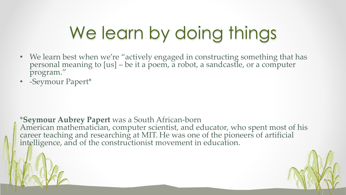# We learn by doing things

- We learn best when we're "actively engaged in constructing something that has personal meaning to [us] – be it a poem, a robot, a sandcastle, or a computer program."
- -Seymour Papert\*

\***Seymour Aubrey Papert** was a South African-born American mathematician, computer scientist, and educator, who spent most of his career teaching and researching at MIT. He was one of the pioneers of artificial intelligence, and of the constructionist movement in education.

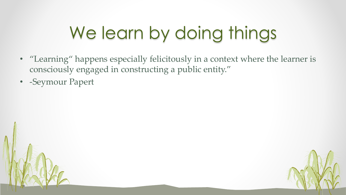# We learn by doing things

- "Learning" happens especially felicitously in a context where the learner is consciously engaged in constructing a public entity."
- -Seymour Papert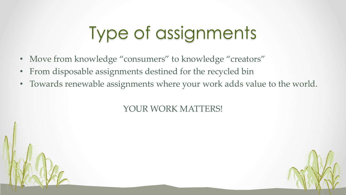# Type of assignments

- Move from knowledge "consumers" to knowledge "creators"
- From disposable assignments destined for the recycled bin
- Towards renewable assignments where your work adds value to the world.

YOUR WORK MATTERS!

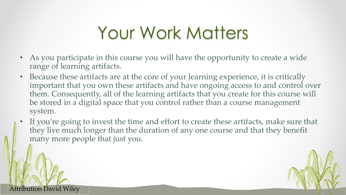### Your Work Matters

- As you participate in this course you will have the opportunity to create a wide range of learning artifacts.
- Because these artifacts are at the core of your learning experience, it is critically important that you own these artifacts and have ongoing access to and control over them. Consequently, all of the learning artifacts that you create for this course will be stored in a digital space that you control rather than a course management system.
- If you're going to invest the time and effort to create these artifacts, make sure that they live much longer than the duration of any one course and that they benefit many more people that just you.

Attribution David Wiley

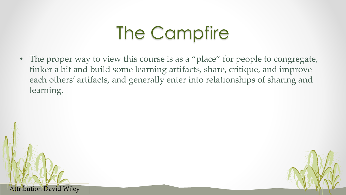# The Campfire

• The proper way to view this course is as a "place" for people to congregate, tinker a bit and build some learning artifacts, share, critique, and improve each others' artifacts, and generally enter into relationships of sharing and learning.

Attribution David Wiley

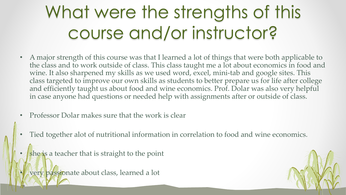# What were the strengths of this course and/or instructor?

- A major strength of this course was that I learned a lot of things that were both applicable to the class and to work outside of class. This class taught me a lot about economics in food and wine. It also sharpened my skills as we used word, excel, mini-tab and google sites. This class targeted to improve our own skills as students to better prepare us for life after college and efficiently taught us about food and wine economics. Prof. Dolar was also very helpful in case anyone had questions or needed help with assignments after or outside of class.
- Professor Dolar makes sure that the work is clear
- Tied together alot of nutritional information in correlation to food and wine economics.
- she is a teacher that is straight to the point
- very passionate about class, learned a lot

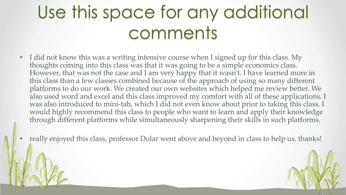# Use this space for any additional comments

- I did not know this was a writing intensive course when I signed up for this class. My thoughts coming into this class was that it was going to be a simple economics class. However, that was not the case and I am very happy that it wasn't. I have learned more in this class than a few classes combined because of the approach of using so many different platforms to do our work. We created our own websites which helped me review better. We also used word and excel and this class improved my comfort with all of these applications. I was also introduced to mini-tab, which I did not even know about prior to taking this class. I would highly recommend this class to people who want to learn and apply their knowledge through different platforms while simultaneously sharpening their skills in such platforms.
	- really enjoyed this class, professor Dolar went above and beyond in class to help us. thanks!

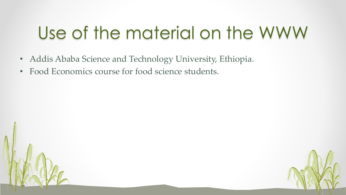#### Use of the material on the WWW

- Addis Ababa Science and Technology University, Ethiopia.
- Food Economics course for food science students.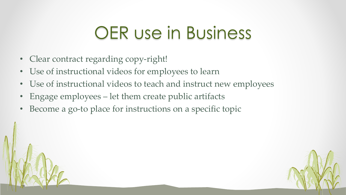#### OER use in Business

- Clear contract regarding copy-right!
- Use of instructional videos for employees to learn
- Use of instructional videos to teach and instruct new employees
- Engage employees let them create public artifacts
- Become a go-to place for instructions on a specific topic